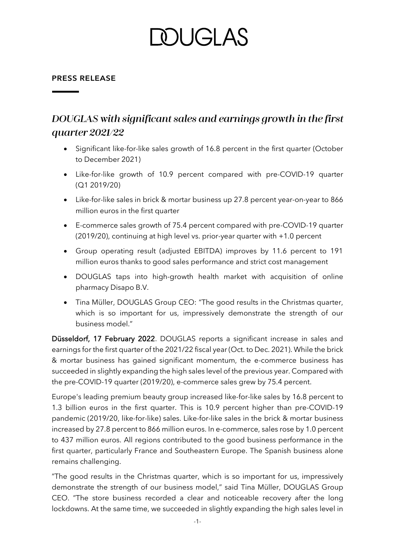# DUGI AS

### **PRESS RELEASE**

# DOUGLAS with significant sales and earnings growth in the first quarter 2021/22

- Significant like-for-like sales growth of 16.8 percent in the first quarter (October to December 2021)
- Like-for-like growth of 10.9 percent compared with pre-COVID-19 quarter (Q1 2019/20)
- Like-for-like sales in brick & mortar business up 27.8 percent year-on-year to 866 million euros in the first quarter
- E-commerce sales growth of 75.4 percent compared with pre-COVID-19 quarter (2019/20), continuing at high level vs. prior-year quarter with +1.0 percent
- Group operating result (adjusted EBITDA) improves by 11.6 percent to 191 million euros thanks to good sales performance and strict cost management
- DOUGLAS taps into high-growth health market with acquisition of online pharmacy Disapo B.V.
- Tina Müller, DOUGLAS Group CEO: "The good results in the Christmas quarter, which is so important for us, impressively demonstrate the strength of our business model."

Düsseldorf, 17 February 2022. DOUGLAS reports a significant increase in sales and earnings for the first quarter of the 2021/22 fiscal year (Oct. to Dec. 2021). While the brick & mortar business has gained significant momentum, the e-commerce business has succeeded in slightly expanding the high sales level of the previous year. Compared with the pre-COVID-19 quarter (2019/20), e-commerce sales grew by 75.4 percent.

Europe's leading premium beauty group increased like-for-like sales by 16.8 percent to 1.3 billion euros in the first quarter. This is 10.9 percent higher than pre-COVID-19 pandemic (2019/20, like-for-like) sales. Like-for-like sales in the brick & mortar business increased by 27.8 percent to 866 million euros. In e-commerce, sales rose by 1.0 percent to 437 million euros. All regions contributed to the good business performance in the first quarter, particularly France and Southeastern Europe. The Spanish business alone remains challenging.

"The good results in the Christmas quarter, which is so important for us, impressively demonstrate the strength of our business model," said Tina Müller, DOUGLAS Group CEO. "The store business recorded a clear and noticeable recovery after the long lockdowns. At the same time, we succeeded in slightly expanding the high sales level in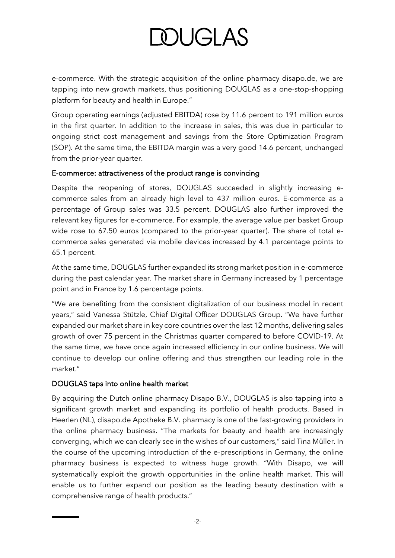# **DOUGLAS**

e-commerce. With the strategic acquisition of the online pharmacy disapo.de, we are tapping into new growth markets, thus positioning DOUGLAS as a one-stop-shopping platform for beauty and health in Europe."

Group operating earnings (adjusted EBITDA) rose by 11.6 percent to 191 million euros in the first quarter. In addition to the increase in sales, this was due in particular to ongoing strict cost management and savings from the Store Optimization Program (SOP). At the same time, the EBITDA margin was a very good 14.6 percent, unchanged from the prior-year quarter.

### E-commerce: attractiveness of the product range is convincing

Despite the reopening of stores, DOUGLAS succeeded in slightly increasing ecommerce sales from an already high level to 437 million euros. E-commerce as a percentage of Group sales was 33.5 percent. DOUGLAS also further improved the relevant key figures for e-commerce. For example, the average value per basket Group wide rose to 67.50 euros (compared to the prior-year quarter). The share of total ecommerce sales generated via mobile devices increased by 4.1 percentage points to 65.1 percent.

At the same time, DOUGLAS further expanded its strong market position in e-commerce during the past calendar year. The market share in Germany increased by 1 percentage point and in France by 1.6 percentage points.

"We are benefiting from the consistent digitalization of our business model in recent years," said Vanessa Stützle, Chief Digital Officer DOUGLAS Group. "We have further expanded our market share in key core countries over the last 12 months, delivering sales growth of over 75 percent in the Christmas quarter compared to before COVID-19. At the same time, we have once again increased efficiency in our online business. We will continue to develop our online offering and thus strengthen our leading role in the market."

## DOUGLAS taps into online health market

By acquiring the Dutch online pharmacy Disapo B.V., DOUGLAS is also tapping into a significant growth market and expanding its portfolio of health products. Based in Heerlen (NL), disapo.de Apotheke B.V. pharmacy is one of the fast-growing providers in the online pharmacy business. "The markets for beauty and health are increasingly converging, which we can clearly see in the wishes of our customers," said Tina Müller. In the course of the upcoming introduction of the e-prescriptions in Germany, the online pharmacy business is expected to witness huge growth. "With Disapo, we will systematically exploit the growth opportunities in the online health market. This will enable us to further expand our position as the leading beauty destination with a comprehensive range of health products."